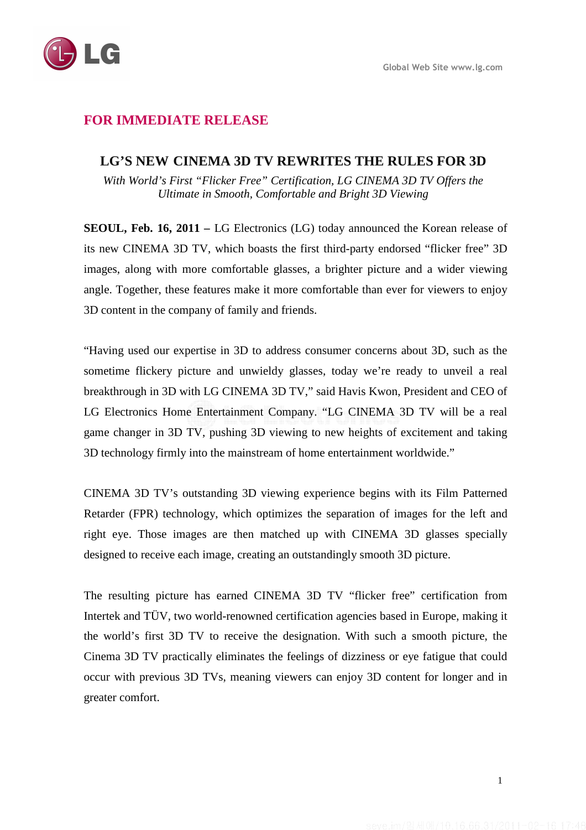

# **FOR IMMEDIATE RELEASE**

### **LG'S NEW CINEMA 3D TV REWRITES THE RULES FOR 3D**

*With World's First "Flicker Free" Certification, LG CINEMA 3D TV Offers the Ultimate in Smooth, Comfortable and Bright 3D Viewing*

**SEOUL, Feb. 16, 2011 –** LG Electronics (LG) today announced the Korean release of its new CINEMA 3D TV, which boasts the first third-party endorsed "flicker free" 3D images, along with more comfortable glasses, a brighter picture and a wider viewing angle. Together, these features make it more comfortable than ever for viewers to enjoy 3D content in the company of family and friends.

"Having used our expertise in 3D to address consumer concerns about 3D, such as the sometime flickery picture and unwieldy glasses, today we're ready to unveil a real breakthrough in 3D with LG CINEMA 3D TV," said Havis Kwon, President and CEO of LG Electronics Home Entertainment Company. "LG CINEMA 3D TV will be a real game changer in 3D TV, pushing 3D viewing to new heights of excitement and taking 3D technology firmly into the mainstream of home entertainment worldwide."

CINEMA 3D TV's outstanding 3D viewing experience begins with its Film Patterned Retarder (FPR) technology, which optimizes the separation of images for the left and right eye. Those images are then matched up with CINEMA 3D glasses specially designed to receive each image, creating an outstandingly smooth 3D picture.

The resulting picture has earned CINEMA 3D TV "flicker free" certification from Intertek and TÜV, two world-renowned certification agencies based in Europe, making it the world's first 3D TV to receive the designation. With such a smooth picture, the Cinema 3D TV practically eliminates the feelings of dizziness or eye fatigue that could occur with previous 3D TVs, meaning viewers can enjoy 3D content for longer and in greater comfort.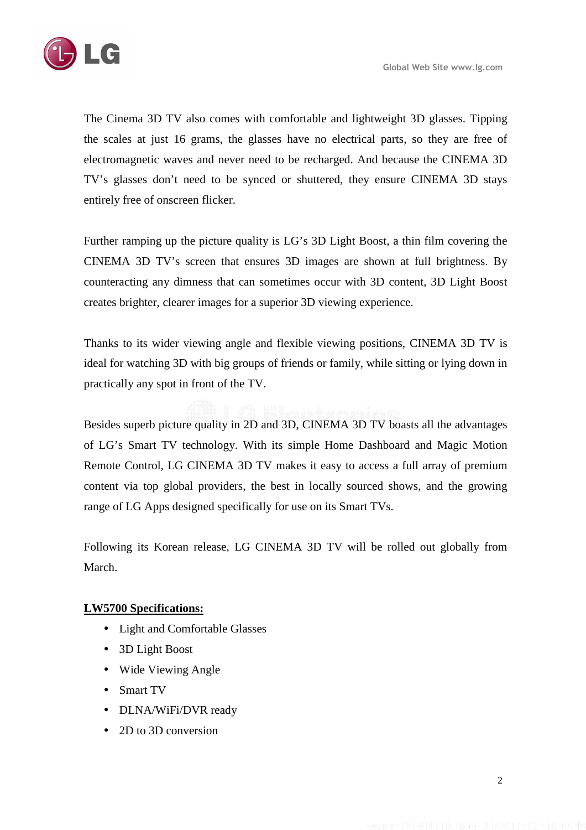

The Cinema 3D TV also comes with comfortable and lightweight 3D glasses. Tipping the scales at just 16 grams, the glasses have no electrical parts, so they are free of electromagnetic waves and never need to be recharged. And because the CINEMA 3D TV's glasses don't need to be synced or shuttered, they ensure CINEMA 3D stays entirely free of onscreen flicker.

Further ramping up the picture quality is LG's 3D Light Boost, a thin film covering the CINEMA 3D TV's screen that ensures 3D images are shown at full brightness. By counteracting any dimness that can sometimes occur with 3D content, 3D Light Boost creates brighter, clearer images for a superior 3D viewing experience.

Thanks to its wider viewing angle and flexible viewing positions, CINEMA 3D TV is ideal for watching 3D with big groups of friends or family, while sitting or lying down in practically any spot in front of the TV.

Besides superb picture quality in 2D and 3D, CINEMA 3D TV boasts all the advantages of LG's Smart TV technology. With its simple Home Dashboard and Magic Motion Remote Control, LG CINEMA 3D TV makes it easy to access a full array of premium content via top global providers, the best in locally sourced shows, and the growing range of LG Apps designed specifically for use on its Smart TVs.

Following its Korean release, LG CINEMA 3D TV will be rolled out globally from March.

## **LW5700 Specifications:**

- Light and Comfortable Glasses
- 3D Light Boost
- Wide Viewing Angle
- Smart TV
- DLNA/WiFi/DVR ready
- 2D to 3D conversion